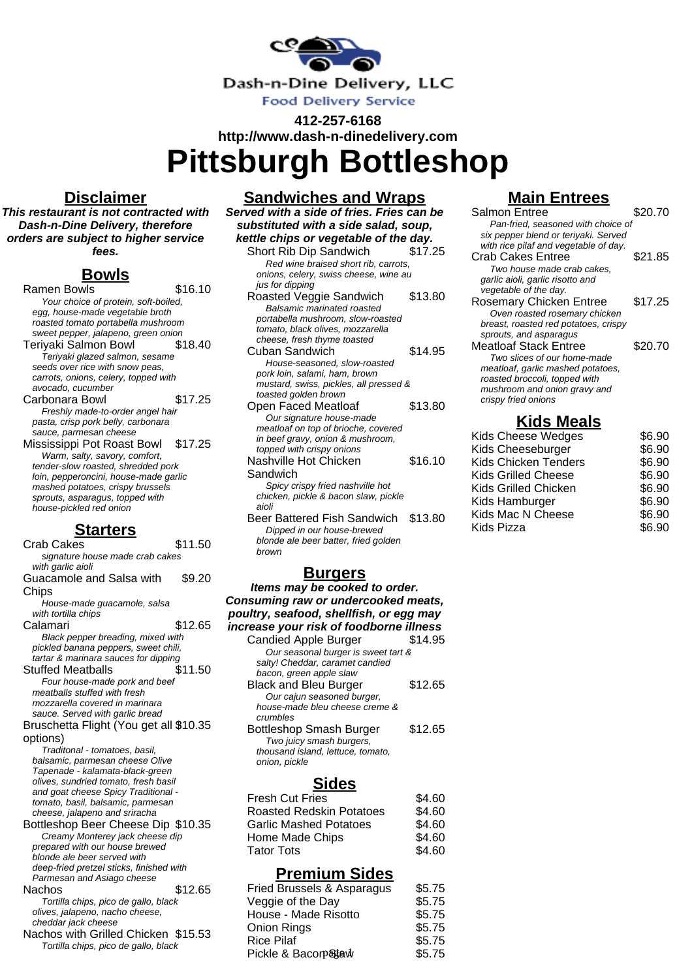

**412-257-6168 http://www.dash-n-dinedelivery.com**

**Pittsburgh Bottleshop**

#### **Disclaimer**

**This restaurant is not contracted with Dash-n-Dine Delivery, therefore orders are subject to higher service fees.**

## **Bowls**

Ramen Bowls \$16.10 Your choice of protein, soft-boiled, egg, house-made vegetable broth roasted tomato portabella mushroom sweet pepper, jalapeno, green onion Teriyaki Salmon Bowl \$18.40 Teriyaki glazed salmon, sesame seeds over rice with snow peas, carrots, onions, celery, topped with avocado, cucumber Carbonara Bowl \$17.25 Freshly made-to-order angel hair pasta, crisp pork belly, carbonara sauce, parmesan cheese Mississippi Pot Roast Bowl \$17.25 Warm, salty, savory, comfort, tender-slow roasted, shredded pork loin, pepperoncini, house-made garlic mashed potatoes, crispy brussels sprouts, asparagus, topped with house-pickled red onion

#### **Starters**

Crab Cakes \$11.50 signature house made crab cakes with garlic aioli Guacamole and Salsa with **Chips** \$9.20 House-made guacamole, salsa with tortilla chips Calamari \$12.65 Black pepper breading, mixed with pickled banana peppers, sweet chili, tartar & marinara sauces for dipping Stuffed Meatballs Four house-made pork and beef meatballs stuffed with fresh mozzarella covered in marinara sauce. Served with garlic bread Bruschetta Flight (You get all \$10.35 options) Traditonal - tomatoes, basil, balsamic, parmesan cheese Olive Tapenade - kalamata-black-green olives, sundried tomato, fresh basil and goat cheese Spicy Traditional tomato, basil, balsamic, parmesan cheese, jalapeno and sriracha Bottleshop Beer Cheese Dip \$10.35 Creamy Monterey jack cheese dip prepared with our house brewed blonde ale beer served with deep-fried pretzel sticks, finished with Parmesan and Asiago cheese Nachos \$12.65 Tortilla chips, pico de gallo, black olives, jalapeno, nacho cheese, cheddar jack cheese Nachos with Grilled Chicken \$15.53 Tortilla chips, pico de gallo, black

**Sandwiches and Wraps Served with a side of fries. Fries can be substituted with a side salad, soup, kettle chips or vegetable of the day.** Short Rib Dip Sandwich \$17.25 Red wine braised short rib, carrots, onions, celery, swiss cheese, wine au jus for dipping Roasted Veggie Sandwich \$13.80

- Balsamic marinated roasted portabella mushroom, slow-roasted tomato, black olives, mozzarella cheese, fresh thyme toasted Cuban Sandwich  $$14.95$ House-seasoned, slow-roasted pork loin, salami, ham, brown mustard, swiss, pickles, all pressed & toasted golden brown Open Faced Meatloaf \$13.80 Our signature house-made meatloaf on top of brioche, covered in beef gravy, onion & mushroom, topped with crispy onions Nashville Hot Chicken Sandwich \$16.10 Spicy crispy fried nashville hot chicken, pickle & bacon slaw, pickle aioli
- Beer Battered Fish Sandwich \$13.80 Dipped in our house-brewed blonde ale beer batter, fried golden brown

#### **Burgers**

**Items may be cooked to order. Consuming raw or undercooked meats, poultry, seafood, shellfish, or egg may increase your risk of foodborne illness** Candied Apple Burger \$14.95 Our seasonal burger is sweet tart & salty! Cheddar, caramet candied bacon, green apple slaw Black and Bleu Burger \$12.65 Our cajun seasoned burger, house-made bleu cheese creme & crumbles Bottleshop Smash Burger \$12.65 Two juicy smash burgers, thousand island, lettuce, tomato, onion, pickle

### **Sides**

| \$4.60 |
|--------|
| \$4.60 |
| \$4.60 |
| \$4.60 |
| \$4.60 |
|        |

#### **Premium Sides**

| Fried Brussels & Asparagus | \$5.75 |
|----------------------------|--------|
| Veggie of the Day          | \$5.75 |
| House - Made Risotto       | \$5.75 |
| Onion Rings                | \$5.75 |
| <b>Rice Pilaf</b>          | \$5.75 |
| Pickle & Bacorp&taw        | \$5.75 |
|                            |        |

## **Main Entrees**

| Salmon Entree                         | \$20.70 |  |  |
|---------------------------------------|---------|--|--|
| Pan-fried, seasoned with choice of    |         |  |  |
| six pepper blend or teriyaki. Served  |         |  |  |
| with rice pilaf and vegetable of day. |         |  |  |
| <b>Crab Cakes Entree</b>              | \$21.85 |  |  |
| Two house made crab cakes.            |         |  |  |
| garlic aioli, garlic risotto and      |         |  |  |
| vegetable of the day.                 |         |  |  |
| <b>Rosemary Chicken Entree</b>        | \$17.25 |  |  |
| Oven roasted rosemary chicken         |         |  |  |
| breast, roasted red potatoes, crispy  |         |  |  |
| sprouts, and asparagus                |         |  |  |
| Meatloaf Stack Entree                 | \$20.70 |  |  |
| Two slices of our home-made           |         |  |  |
| meatloaf, garlic mashed potatoes,     |         |  |  |
| roasted broccoli, topped with         |         |  |  |
| mushroom and onion gravy and          |         |  |  |
| crispy fried onions                   |         |  |  |
| Kids Meals                            |         |  |  |

| .                    |        |
|----------------------|--------|
| Kids Cheese Wedges   | \$6.90 |
| Kids Cheeseburger    | \$6.90 |
| Kids Chicken Tenders | \$6.90 |
| Kids Grilled Cheese  | \$6.90 |
| Kids Grilled Chicken | \$6.90 |
| Kids Hamburger       | \$6.90 |
| Kids Mac N Cheese    | \$6.90 |
| Kids Pizza           | \$6.90 |
|                      |        |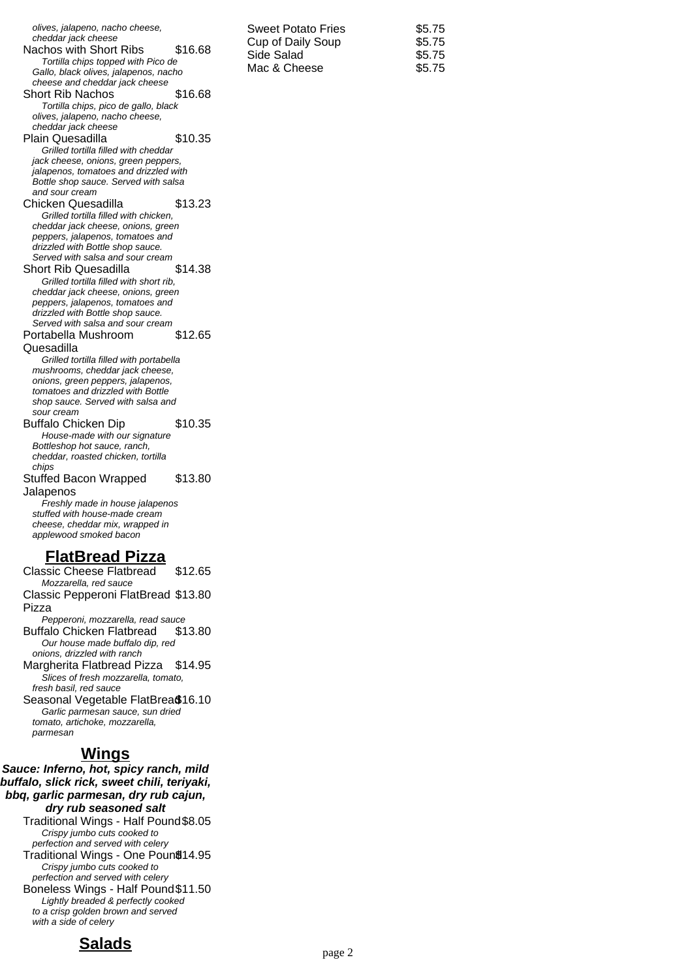| olives, jalapeno, nacho cheese,<br>cheddar jack cheese<br>\$16.68<br>Nachos with Short Ribs<br>Tortilla chips topped with Pico de<br>Gallo, black olives, jalapenos, nacho<br>cheese and cheddar jack cheese | <b>Sweet Potato Fries</b><br>Cup of Daily Soup<br>Side Salad<br>Mac & Cheese | \$5.75<br>\$5.75<br>\$5.75<br>\$5.75 |
|--------------------------------------------------------------------------------------------------------------------------------------------------------------------------------------------------------------|------------------------------------------------------------------------------|--------------------------------------|
|--------------------------------------------------------------------------------------------------------------------------------------------------------------------------------------------------------------|------------------------------------------------------------------------------|--------------------------------------|

Short Rib Nachos \$16.68 Tortilla chips, pico de gallo, black olives, jalapeno, nacho cheese, cheddar jack cheese Plain Quesadilla  $$10.35$ Grilled tortilla filled with cheddar jack cheese, onions, green peppers, jalapenos, tomatoes and drizzled with Bottle shop sauce. Served with salsa and sour cream Chicken Quesadilla \$13.23 Grilled tortilla filled with chicken, cheddar jack cheese, onions, green peppers, jalapenos, tomatoes and drizzled with Bottle shop sauce. Served with salsa and sour cream Short Rib Quesadilla  $$14.38$ Grilled tortilla filled with short rib, cheddar jack cheese, onions, green peppers, jalapenos, tomatoes and drizzled with Bottle shop sauce. Served with salsa and sour cream Portabella Mushroom Quesadilla \$12.65 Grilled tortilla filled with portabella mushrooms, cheddar jack cheese, onions, green peppers, jalapenos, tomatoes and drizzled with Bottle shop sauce. Served with salsa and sour cream Buffalo Chicken Dip \$10.35 House-made with our signature Bottleshop hot sauce, ranch, cheddar, roasted chicken, tortilla chips Stuffed Bacon Wrapped Jalapenos \$13.80 Freshly made in house jalapenos stuffed with house-made cream cheese, cheddar mix, wrapped in applewood smoked bacon **FlatBread Pizza** Classic Cheese Flatbread \$12.65 Mozzarella, red sauce

Classic Pepperoni FlatBread \$13.80 Pizza

Pepperoni, mozzarella, read sauce Buffalo Chicken Flatbread \$13.80 Our house made buffalo dip, red

onions, drizzled with ranch Margherita Flatbread Pizza \$14.95

Slices of fresh mozzarella, tomato, fresh basil, red sauce

Seasonal Vegetable FlatBrea\$16.10 Garlic parmesan sauce, sun dried tomato, artichoke, mozzarella, parmesan

### **Wings**

**Sauce: Inferno, hot, spicy ranch, mild buffalo, slick rick, sweet chili, teriyaki, bbq, garlic parmesan, dry rub cajun, dry rub seasoned salt** Traditional Wings - Half Pound\$8.05 Crispy jumbo cuts cooked to perfection and served with celery Traditional Wings - One Poun<sup>814.95</sup> Crispy jumbo cuts cooked to perfection and served with celery Boneless Wings - Half Pound\$11.50 Lightly breaded & perfectly cooked to a crisp golden brown and served with a side of celery

# **Salads**